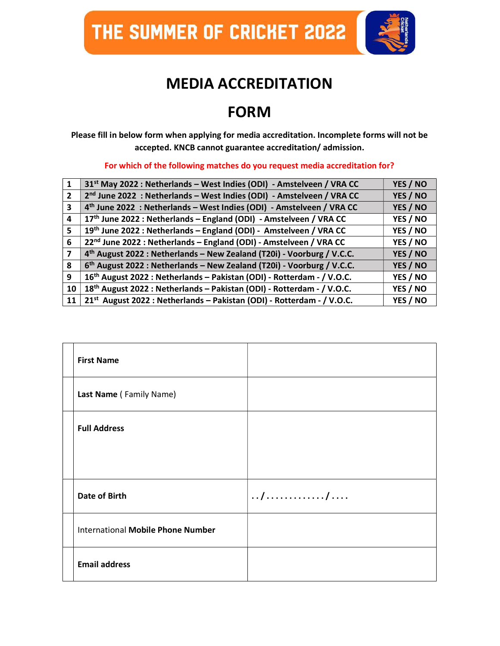THE SUMMER OF CRICHET 2022



## MEDIA ACCREDITATION

## FORM

Please fill in below form when applying for media accreditation. Incomplete forms will not be accepted. KNCB cannot guarantee accreditation/ admission.

For which of the following matches do you request media accreditation for?

| $\mathbf 1$             | 31 <sup>st</sup> May 2022 : Netherlands – West Indies (ODI) - Amstelveen / VRA CC  | YES / NO |
|-------------------------|------------------------------------------------------------------------------------|----------|
| $\overline{2}$          | 2 <sup>nd</sup> June 2022 : Netherlands - West Indies (ODI) - Amstelveen / VRA CC  | YES / NO |
| $\overline{\mathbf{3}}$ | 4 <sup>th</sup> June 2022 : Netherlands - West Indies (ODI) - Amstelveen / VRA CC  | YES / NO |
| 4                       | 17th June 2022 : Netherlands - England (ODI) - Amstelveen / VRA CC                 | YES / NO |
| 5                       | 19th June 2022 : Netherlands - England (ODI) - Amstelveen / VRA CC                 | YES / NO |
| 6                       | 22 <sup>nd</sup> June 2022 : Netherlands - England (ODI) - Amstelveen / VRA CC     | YES / NO |
| $\overline{ }$          | 4 <sup>th</sup> August 2022 : Netherlands - New Zealand (T20i) - Voorburg / V.C.C. | YES / NO |
| 8                       | 6 <sup>th</sup> August 2022 : Netherlands - New Zealand (T20i) - Voorburg / V.C.C. | YES / NO |
| 9                       | 16 <sup>th</sup> August 2022 : Netherlands - Pakistan (ODI) - Rotterdam - / V.O.C. | YES / NO |
| 10                      | 18 <sup>th</sup> August 2022 : Netherlands - Pakistan (ODI) - Rotterdam - / V.O.C. | YES / NO |
| 11                      | 21 <sup>st</sup> August 2022 : Netherlands - Pakistan (ODI) - Rotterdam - / V.O.C. | YES / NO |

| <b>First Name</b>                        |     |
|------------------------------------------|-----|
| Last Name (Family Name)                  |     |
| <b>Full Address</b>                      |     |
|                                          |     |
| Date of Birth                            | / / |
| <b>International Mobile Phone Number</b> |     |
| <b>Email address</b>                     |     |